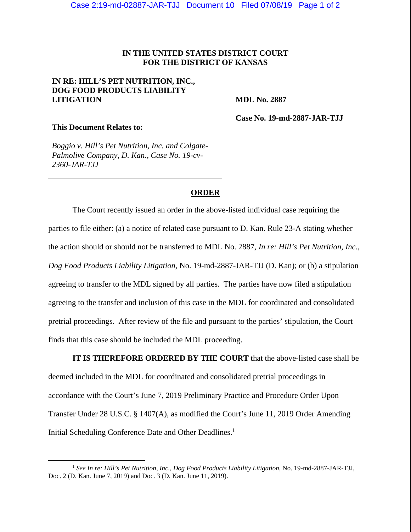## **IN THE UNITED STATES DISTRICT COURT FOR THE DISTRICT OF KANSAS**

## **IN RE: HILL'S PET NUTRITION, INC., DOG FOOD PRODUCTS LIABILITY LITIGATION**

 **MDL No. 2887** 

**This Document Relates to:** 

*Boggio v. Hill's Pet Nutrition, Inc. and Colgate-Palmolive Company, D. Kan., Case No. 19-cv-2360-JAR-TJJ* 

 **Case No. 19-md-2887-JAR-TJJ** 

## **ORDER**

The Court recently issued an order in the above-listed individual case requiring the parties to file either: (a) a notice of related case pursuant to D. Kan. Rule 23-A stating whether the action should or should not be transferred to MDL No. 2887, *In re: Hill's Pet Nutrition, Inc., Dog Food Products Liability Litigation*, No. 19-md-2887-JAR-TJJ (D. Kan); or (b) a stipulation agreeing to transfer to the MDL signed by all parties. The parties have now filed a stipulation agreeing to the transfer and inclusion of this case in the MDL for coordinated and consolidated pretrial proceedings. After review of the file and pursuant to the parties' stipulation, the Court finds that this case should be included the MDL proceeding.

**IT IS THEREFORE ORDERED BY THE COURT** that the above-listed case shall be deemed included in the MDL for coordinated and consolidated pretrial proceedings in accordance with the Court's June 7, 2019 Preliminary Practice and Procedure Order Upon Transfer Under 28 U.S.C. § 1407(A), as modified the Court's June 11, 2019 Order Amending Initial Scheduling Conference Date and Other Deadlines.<sup>1</sup>

 <sup>1</sup> *See In re: Hill's Pet Nutrition, Inc., Dog Food Products Liability Litigation*, No. 19-md-2887-JAR-TJJ, Doc. 2 (D. Kan. June 7, 2019) and Doc. 3 (D. Kan. June 11, 2019).